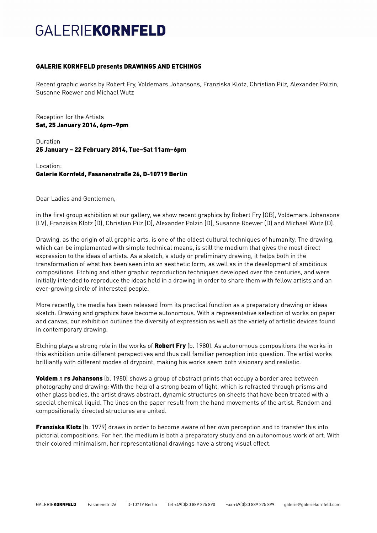## **GALERIEKORNFELD**

## GALERIE KORNFELD presents DRAWINGS AND ETCHINGS

Recent graphic works by Robert Fry, Voldemars Johansons, Franziska Klotz, Christian Pilz, Alexander Polzin, Susanne Roewer and Michael Wutz

Reception for the Artists Sat, 25 January 2014, 6pm–9pm

Duration 25 January – 22 February 2014, Tue–Sat 11am–6pm

Location: Galerie Kornfeld, Fasanenstraße 26, D-10719 Berlin

Dear Ladies and Gentlemen,

in the first group exhibition at our gallery, we show recent graphics by Robert Fry (GB), Voldemars Johansons (LV), Franziska Klotz (D), Christian Pilz (D), Alexander Polzin (D), Susanne Roewer (D) and Michael Wutz (D).

Drawing, as the origin of all graphic arts, is one of the oldest cultural techniques of humanity. The drawing, which can be implemented with simple technical means, is still the medium that gives the most direct expression to the ideas of artists. As a sketch, a study or preliminary drawing, it helps both in the transformation of what has been seen into an aesthetic form, as well as in the development of ambitious compositions. Etching and other graphic reproduction techniques developed over the centuries, and were initially intended to reproduce the ideas held in a drawing in order to share them with fellow artists and an ever-growing circle of interested people.

More recently, the media has been released from its practical function as a preparatory drawing or ideas sketch: Drawing and graphics have become autonomous. With a representative selection of works on paper and canvas, our exhibition outlines the diversity of expression as well as the variety of artistic devices found in contemporary drawing.

Etching plays a strong role in the works of **Robert Fry** (b. 1980). As autonomous compositions the works in this exhibition unite different perspectives and thus call familiar perception into question. The artist works brilliantly with different modes of drypoint, making his works seem both visionary and realistic.

**Voldem**  $\bar{a}$  **rs Johansons** (b. 1980) shows a group of abstract prints that occupy a border area between photography and drawing: With the help of a strong beam of light, which is refracted through prisms and other glass bodies, the artist draws abstract, dynamic structures on sheets that have been treated with a special chemical liquid. The lines on the paper result from the hand movements of the artist. Random and compositionally directed structures are united.

**Franziska Klotz** (b. 1979) draws in order to become aware of her own perception and to transfer this into pictorial compositions. For her, the medium is both a preparatory study and an autonomous work of art. With their colored minimalism, her representational drawings have a strong visual effect.